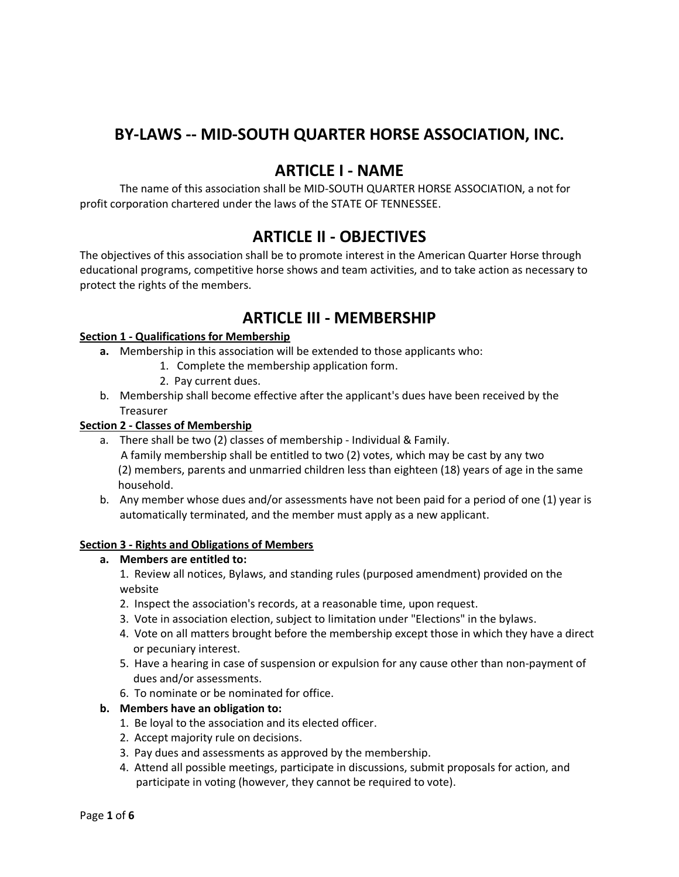## **BY-LAWS -- MID-SOUTH QUARTER HORSE ASSOCIATION, INC.**

### **ARTICLE I - NAME**

The name of this association shall be MID-SOUTH QUARTER HORSE ASSOCIATION, a not for profit corporation chartered under the laws of the STATE OF TENNESSEE.

## **ARTICLE II - OBJECTIVES**

The objectives of this association shall be to promote interest in the American Quarter Horse through educational programs, competitive horse shows and team activities, and to take action as necessary to protect the rights of the members.

## **ARTICLE III - MEMBERSHIP**

### **Section 1 - Qualifications for Membership**

- **a.** Membership in this association will be extended to those applicants who:
	- 1. Complete the membership application form.
	- 2. Pay current dues.
- b. Membership shall become effective after the applicant's dues have been received by the Treasurer

### **Section 2 - Classes of Membership**

- a. There shall be two (2) classes of membership Individual & Family. A family membership shall be entitled to two (2) votes, which may be cast by any two (2) members, parents and unmarried children less than eighteen (18) years of age in the same household.
- b. Any member whose dues and/or assessments have not been paid for a period of one (1) year is automatically terminated, and the member must apply as a new applicant.

#### **Section 3 - Rights and Obligations of Members**

#### **a. Members are entitled to:**

1. Review all notices, Bylaws, and standing rules (purposed amendment) provided on the website

- 2. Inspect the association's records, at a reasonable time, upon request.
- 3. Vote in association election, subject to limitation under "Elections" in the bylaws.
- 4. Vote on all matters brought before the membership except those in which they have a direct or pecuniary interest.
- 5. Have a hearing in case of suspension or expulsion for any cause other than non-payment of dues and/or assessments.
- 6. To nominate or be nominated for office.

#### **b. Members have an obligation to:**

- 1. Be loyal to the association and its elected officer.
- 2. Accept majority rule on decisions.
- 3. Pay dues and assessments as approved by the membership.
- 4. Attend all possible meetings, participate in discussions, submit proposals for action, and participate in voting (however, they cannot be required to vote).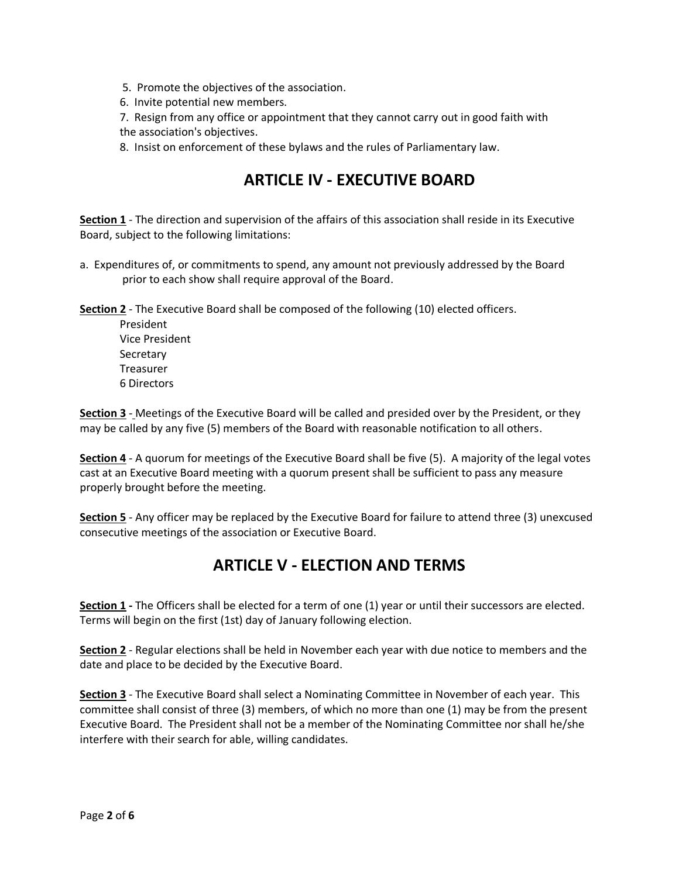- 5. Promote the objectives of the association.
- 6. Invite potential new members.
- 7. Resign from any office or appointment that they cannot carry out in good faith with the association's objectives.

8. Insist on enforcement of these bylaws and the rules of Parliamentary law.

# **ARTICLE IV - EXECUTIVE BOARD**

**Section 1** - The direction and supervision of the affairs of this association shall reside in its Executive Board, subject to the following limitations:

a. Expenditures of, or commitments to spend, any amount not previously addressed by the Board prior to each show shall require approval of the Board.

**Section 2** - The Executive Board shall be composed of the following (10) elected officers.

President Vice President Secretary Treasurer 6 Directors

**Section 3** - Meetings of the Executive Board will be called and presided over by the President, or they may be called by any five (5) members of the Board with reasonable notification to all others.

**Section 4** - A quorum for meetings of the Executive Board shall be five (5). A majority of the legal votes cast at an Executive Board meeting with a quorum present shall be sufficient to pass any measure properly brought before the meeting.

**Section 5** - Any officer may be replaced by the Executive Board for failure to attend three (3) unexcused consecutive meetings of the association or Executive Board.

# **ARTICLE V - ELECTION AND TERMS**

**Section 1 -** The Officers shall be elected for a term of one (1) year or until their successors are elected. Terms will begin on the first (1st) day of January following election.

**Section 2** - Regular elections shall be held in November each year with due notice to members and the date and place to be decided by the Executive Board.

**Section 3** - The Executive Board shall select a Nominating Committee in November of each year. This committee shall consist of three (3) members, of which no more than one (1) may be from the present Executive Board. The President shall not be a member of the Nominating Committee nor shall he/she interfere with their search for able, willing candidates.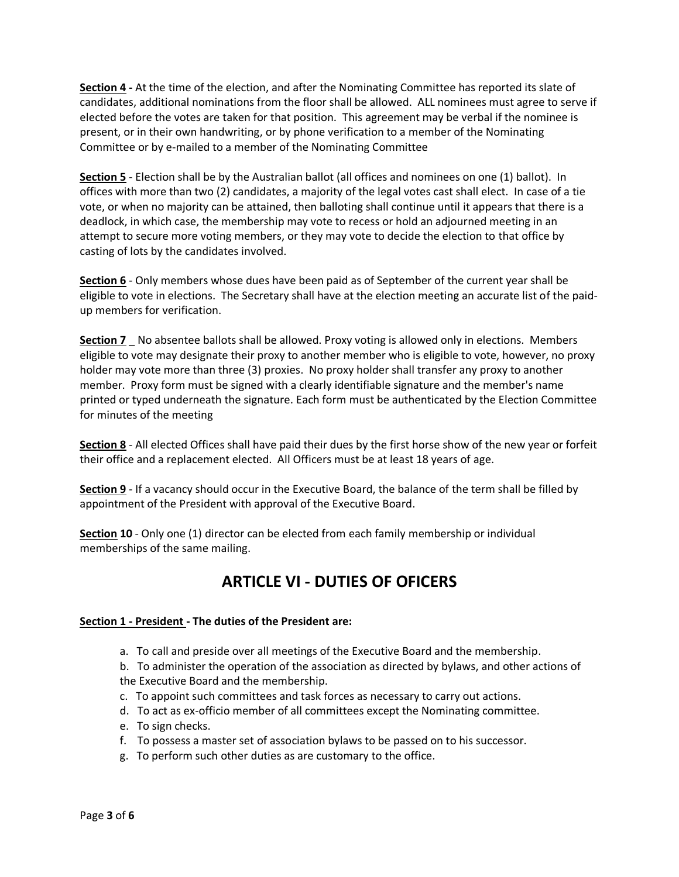**Section 4 -** At the time of the election, and after the Nominating Committee has reported its slate of candidates, additional nominations from the floor shall be allowed. ALL nominees must agree to serve if elected before the votes are taken for that position. This agreement may be verbal if the nominee is present, or in their own handwriting, or by phone verification to a member of the Nominating Committee or by e-mailed to a member of the Nominating Committee

**Section 5** - Election shall be by the Australian ballot (all offices and nominees on one (1) ballot). In offices with more than two (2) candidates, a majority of the legal votes cast shall elect. In case of a tie vote, or when no majority can be attained, then balloting shall continue until it appears that there is a deadlock, in which case, the membership may vote to recess or hold an adjourned meeting in an attempt to secure more voting members, or they may vote to decide the election to that office by casting of lots by the candidates involved.

**Section 6** - Only members whose dues have been paid as of September of the current year shall be eligible to vote in elections. The Secretary shall have at the election meeting an accurate list of the paidup members for verification.

**Section 7** \_ No absentee ballots shall be allowed. Proxy voting is allowed only in elections. Members eligible to vote may designate their proxy to another member who is eligible to vote, however, no proxy holder may vote more than three (3) proxies. No proxy holder shall transfer any proxy to another member. Proxy form must be signed with a clearly identifiable signature and the member's name printed or typed underneath the signature. Each form must be authenticated by the Election Committee for minutes of the meeting

**Section 8** - All elected Offices shall have paid their dues by the first horse show of the new year or forfeit their office and a replacement elected. All Officers must be at least 18 years of age.

**Section 9** - If a vacancy should occur in the Executive Board, the balance of the term shall be filled by appointment of the President with approval of the Executive Board.

**Section 10** - Only one (1) director can be elected from each family membership or individual memberships of the same mailing.

# **ARTICLE VI - DUTIES OF OFICERS**

### **Section 1 - President - The duties of the President are:**

a. To call and preside over all meetings of the Executive Board and the membership.

b. To administer the operation of the association as directed by bylaws, and other actions of the Executive Board and the membership.

- c. To appoint such committees and task forces as necessary to carry out actions.
- d. To act as ex-officio member of all committees except the Nominating committee.
- e. To sign checks.
- f. To possess a master set of association bylaws to be passed on to his successor.
- g. To perform such other duties as are customary to the office.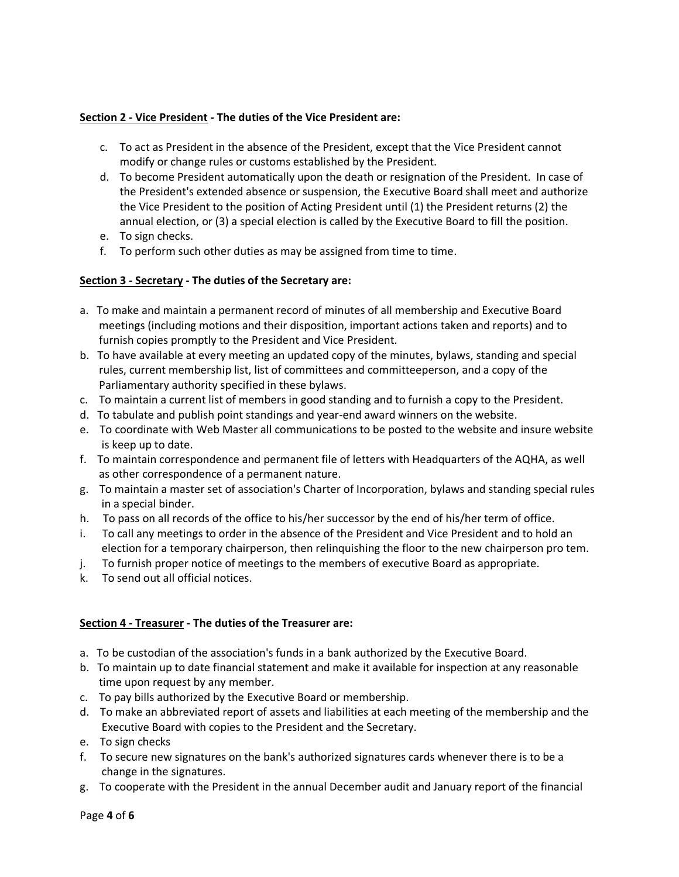### **Section 2 - Vice President - The duties of the Vice President are:**

- c. To act as President in the absence of the President, except that the Vice President cannot modify or change rules or customs established by the President.
- d. To become President automatically upon the death or resignation of the President. In case of the President's extended absence or suspension, the Executive Board shall meet and authorize the Vice President to the position of Acting President until (1) the President returns (2) the annual election, or (3) a special election is called by the Executive Board to fill the position.
- e. To sign checks.
- f. To perform such other duties as may be assigned from time to time.

### **Section 3 - Secretary - The duties of the Secretary are:**

- a. To make and maintain a permanent record of minutes of all membership and Executive Board meetings (including motions and their disposition, important actions taken and reports) and to furnish copies promptly to the President and Vice President.
- b. To have available at every meeting an updated copy of the minutes, bylaws, standing and special rules, current membership list, list of committees and committeeperson, and a copy of the Parliamentary authority specified in these bylaws.
- c. To maintain a current list of members in good standing and to furnish a copy to the President.
- d. To tabulate and publish point standings and year-end award winners on the website.
- e. To coordinate with Web Master all communications to be posted to the website and insure website is keep up to date.
- f. To maintain correspondence and permanent file of letters with Headquarters of the AQHA, as well as other correspondence of a permanent nature.
- g. To maintain a master set of association's Charter of Incorporation, bylaws and standing special rules in a special binder.
- h. To pass on all records of the office to his/her successor by the end of his/her term of office.
- i. To call any meetings to order in the absence of the President and Vice President and to hold an election for a temporary chairperson, then relinquishing the floor to the new chairperson pro tem.
- j. To furnish proper notice of meetings to the members of executive Board as appropriate.
- k. To send out all official notices.

#### **Section 4 - Treasurer - The duties of the Treasurer are:**

- a. To be custodian of the association's funds in a bank authorized by the Executive Board.
- b. To maintain up to date financial statement and make it available for inspection at any reasonable time upon request by any member.
- c. To pay bills authorized by the Executive Board or membership.
- d. To make an abbreviated report of assets and liabilities at each meeting of the membership and the Executive Board with copies to the President and the Secretary.
- e. To sign checks
- f. To secure new signatures on the bank's authorized signatures cards whenever there is to be a change in the signatures.
- g. To cooperate with the President in the annual December audit and January report of the financial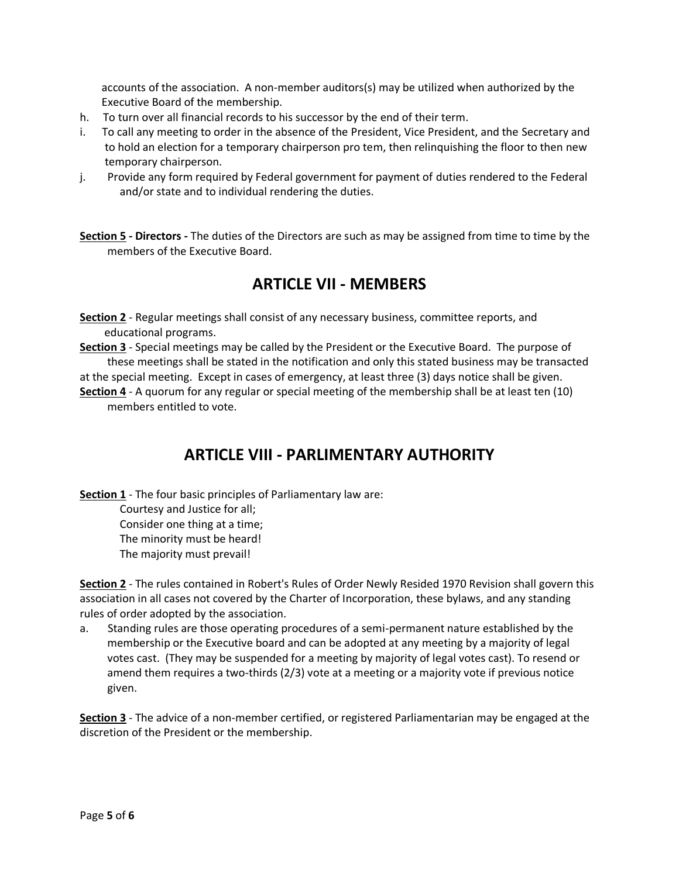accounts of the association. A non-member auditors(s) may be utilized when authorized by the Executive Board of the membership.

- h. To turn over all financial records to his successor by the end of their term.
- i. To call any meeting to order in the absence of the President, Vice President, and the Secretary and to hold an election for a temporary chairperson pro tem, then relinquishing the floor to then new temporary chairperson.
- j. Provide any form required by Federal government for payment of duties rendered to the Federal and/or state and to individual rendering the duties.

**Section 5 - Directors -** The duties of the Directors are such as may be assigned from time to time by the members of the Executive Board.

### **ARTICLE VII - MEMBERS**

- **Section 2** Regular meetings shall consist of any necessary business, committee reports, and educational programs.
- **Section 3** Special meetings may be called by the President or the Executive Board. The purpose of these meetings shall be stated in the notification and only this stated business may be transacted

at the special meeting. Except in cases of emergency, at least three (3) days notice shall be given.

**Section 4** - A quorum for any regular or special meeting of the membership shall be at least ten (10) members entitled to vote.

# **ARTICLE VIII - PARLIMENTARY AUTHORITY**

**Section 1** - The four basic principles of Parliamentary law are:

Courtesy and Justice for all; Consider one thing at a time; The minority must be heard! The majority must prevail!

**Section 2** - The rules contained in Robert's Rules of Order Newly Resided 1970 Revision shall govern this association in all cases not covered by the Charter of Incorporation, these bylaws, and any standing rules of order adopted by the association.

a. Standing rules are those operating procedures of a semi-permanent nature established by the membership or the Executive board and can be adopted at any meeting by a majority of legal votes cast. (They may be suspended for a meeting by majority of legal votes cast). To resend or amend them requires a two-thirds (2/3) vote at a meeting or a majority vote if previous notice given.

**Section 3** - The advice of a non-member certified, or registered Parliamentarian may be engaged at the discretion of the President or the membership.